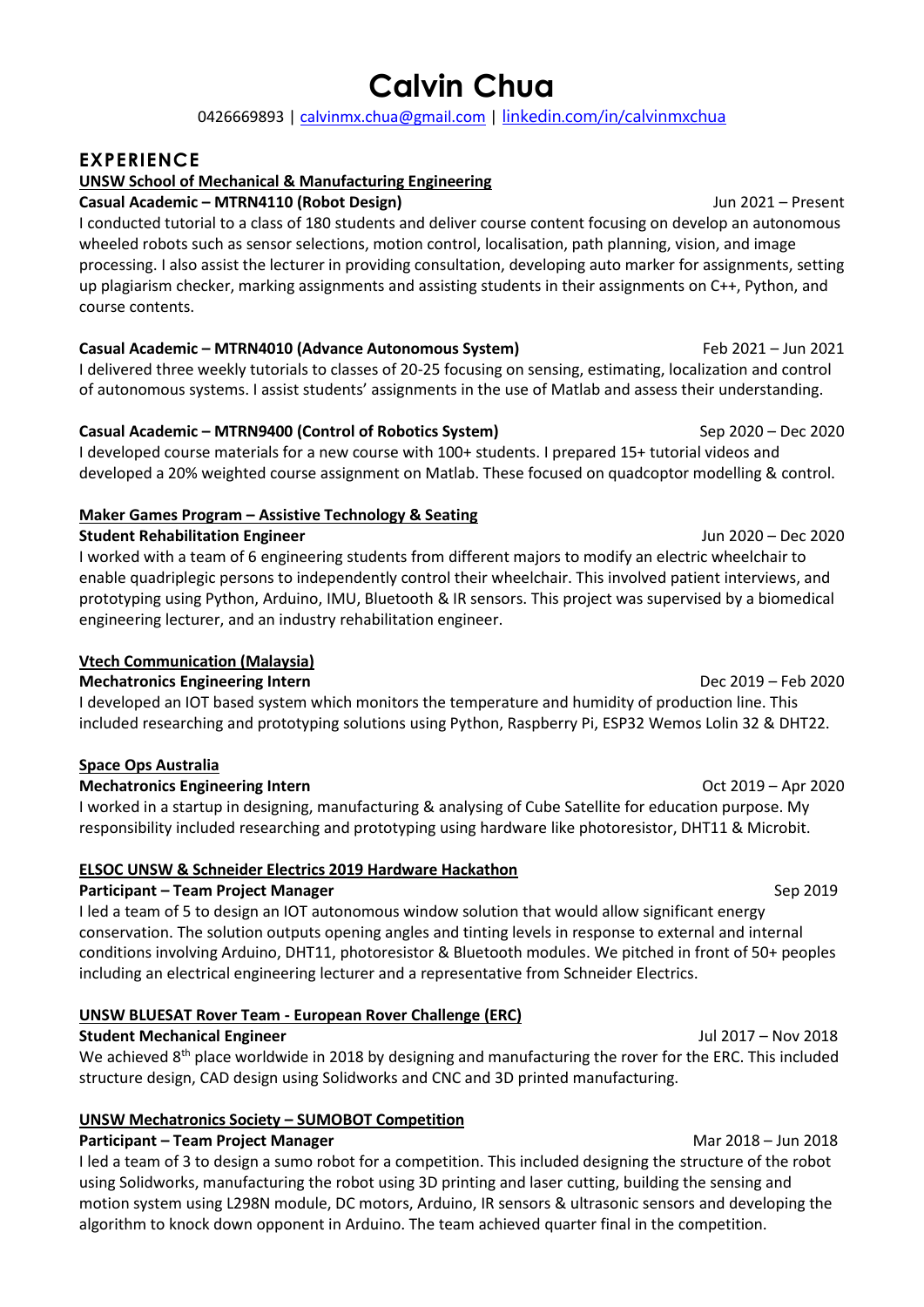# **Calvin Chua**

0426669893 | [calvinmx.chua@gmail.com](mailto:calvinmx.chua@gmail.com) | [linkedin.com/in/calvinmxchua](http://www.linkedin.com/in/calvinmxchua)

# **EXPERIENCE**

# **UNSW School of Mechanical & Manufacturing Engineering**

**Casual Academic – MTRN4110 (Robot Design)** Jun 2021 – Present

I conducted tutorial to a class of 180 students and deliver course content focusing on develop an autonomous wheeled robots such as sensor selections, motion control, localisation, path planning, vision, and image processing. I also assist the lecturer in providing consultation, developing auto marker for assignments, setting up plagiarism checker, marking assignments and assisting students in their assignments on C++, Python, and course contents.

# **Casual Academic – MTRN4010 (Advance Autonomous System)** Feb 2021 – Jun 2021

I delivered three weekly tutorials to classes of 20-25 focusing on sensing, estimating, localization and control of autonomous systems. I assist students' assignments in the use of Matlab and assess their understanding.

# **Casual Academic – MTRN9400 (Control of Robotics System)** Sep 2020 – Dec 2020

I developed course materials for a new course with 100+ students. I prepared 15+ tutorial videos and developed a 20% weighted course assignment on Matlab. These focused on quadcoptor modelling & control.

# **Maker Games Program – Assistive Technology & Seating**

### **Student Rehabilitation Engineer** Jun 2020 – Dec 2020

I worked with a team of 6 engineering students from different majors to modify an electric wheelchair to enable quadriplegic persons to independently control their wheelchair. This involved patient interviews, and prototyping using Python, Arduino, IMU, Bluetooth & IR sensors. This project was supervised by a biomedical engineering lecturer, and an industry rehabilitation engineer.

# **Vtech Communication (Malaysia)**

# **Mechatronics Engineering Intern** Dec 2019 – Feb 2020

I developed an IOT based system which monitors the temperature and humidity of production line. This included researching and prototyping solutions using Python, Raspberry Pi, ESP32 Wemos Lolin 32 & DHT22.

# **Space Ops Australia**

# **Mechatronics Engineering Intern Network 2020 Oct 2019 – Apr 2020**

I worked in a startup in designing, manufacturing & analysing of Cube Satellite for education purpose. My responsibility included researching and prototyping using hardware like photoresistor, DHT11 & Microbit.

# **ELSOC UNSW & Schneider Electrics 2019 Hardware Hackathon**

# **Participant – Team Project Manager** Sep 2019

I led a team of 5 to design an IOT autonomous window solution that would allow significant energy conservation. The solution outputs opening angles and tinting levels in response to external and internal conditions involving Arduino, DHT11, photoresistor & Bluetooth modules. We pitched in front of 50+ peoples including an electrical engineering lecturer and a representative from Schneider Electrics.

# **UNSW BLUESAT Rover Team - European Rover Challenge (ERC)**

# **Student Mechanical Engineer** Jul 2017 – Nov 2018

We achieved  $8<sup>th</sup>$  place worldwide in 2018 by designing and manufacturing the rover for the ERC. This included structure design, CAD design using Solidworks and CNC and 3D printed manufacturing.

# **UNSW Mechatronics Society – SUMOBOT Competition**

# **Participant – Team Project Manager** Mathematic Manager Mar 2018 – Jun 2018

I led a team of 3 to design a sumo robot for a competition. This included designing the structure of the robot using Solidworks, manufacturing the robot using 3D printing and laser cutting, building the sensing and motion system using L298N module, DC motors, Arduino, IR sensors & ultrasonic sensors and developing the algorithm to knock down opponent in Arduino. The team achieved quarter final in the competition.